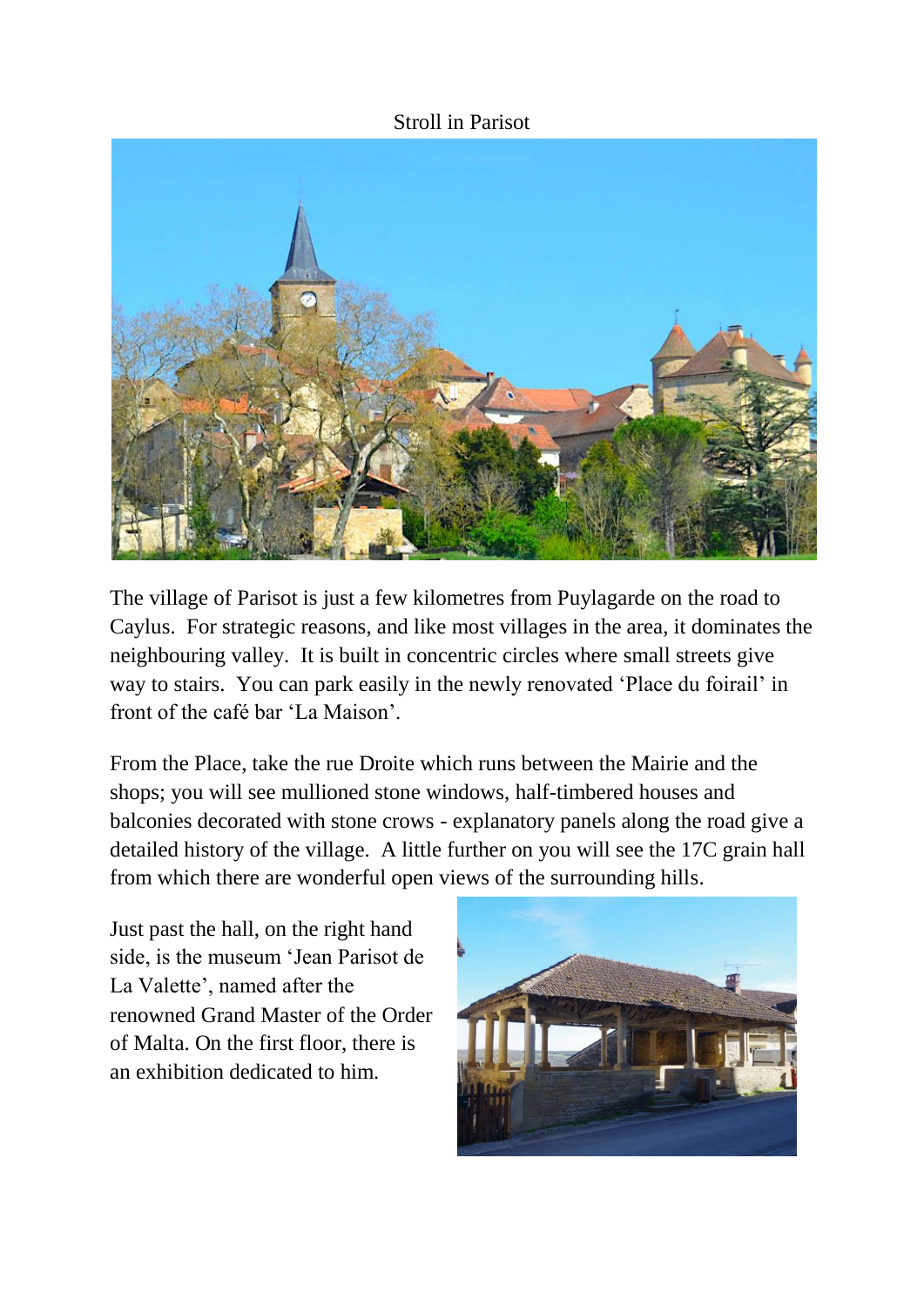## Stroll in Parisot



The village of Parisot is just a few kilometres from Puylagarde on the road to Caylus. For strategic reasons, and like most villages in the area, it dominates the neighbouring valley. It is built in concentric circles where small streets give way to stairs. You can park easily in the newly renovated 'Place du foirail' in front of the café bar 'La Maison'.

From the Place, take the rue Droite which runs between the Mairie and the shops; you will see mullioned stone windows, half-timbered houses and balconies decorated with stone crows - explanatory panels along the road give a detailed history of the village. A little further on you will see the 17C grain hall from which there are wonderful open views of the surrounding hills.

Just past the hall, on the right hand side, is the museum 'Jean Parisot de La Valette', named after the renowned Grand Master of the Order of Malta. On the first floor, there is an exhibition dedicated to him.